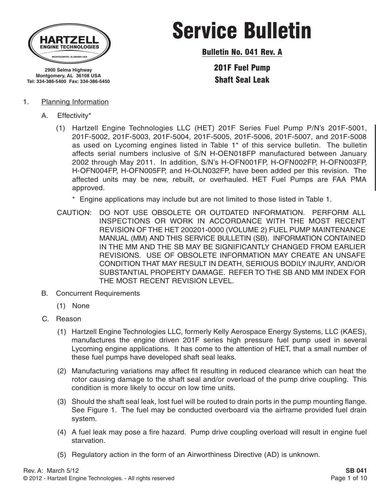

**2900 Selma Highway Montgomery, AL 36108 USA Tel: 334-386-5400 Fax: 334-386-5450**

### 1. Planning Information

A. Effectivity\*

### (1) Hartzell Engine Technologies LLC (HET) 201F Series Fuel Pump P/N's 201F-5001, 201F-5002, 201F-5003, 201F-5004, 201F-5005, 201F-5006, 201F-5007, and 201F-5008 as used on Lycoming engines listed in Table 1\* of this service bulletin. The bulletin affects serial numbers inclusive of S/N H-OEN018FP manufactured between January 2002 through May 2011. In addition, S/N's H-OFN001FP, H-OFN002FP, H-OFN003FP, H-OFN004FP, H-OFN005FP, and H-OLN032FP, have been added per this revision. The affected units may be new, rebuilt, or overhauled. HET Fuel Pumps are FAA PMA approved.

- \* Engine applications may include but are not limited to those listed in Table 1.
- CAUTION: DO NOT USE OBSOLETE OR OUTDATED INFORMATION. PERFORM ALL INSPECTIONS OR WORK IN ACCORDANCE WITH THE MOST RECENT REVISION OF THE HET 200201-0000 (VOLUME 2) FUEL PUMP MAINTENANCE MANUAL (MM) AND THIS SERVICE BULLETIN (SB). INFORMATION CONTAINED IN THE MM AND THE SB MAY BE SIGNIFICANTLY CHANGED FROM EARLIER REVISIONS. USE OF OBSOLETE INFORMATION MAY CREATE AN UNSAFE CONDITION THAT MAY RESULT IN DEATH, SERIOUS BODILY INJURY, AND/OR SUBSTANTIAL PROPERTY DAMAGE. REFER TO THE SB AND MM INDEX FOR THE MOST RECENT REVISION LEVEL.
- B. Concurrent Requirements
	- (1) None
- C. Reason
	- (1) Hartzell Engine Technologies LLC, formerly Kelly Aerospace Energy Systems, LLC (KAES), manufactures the engine driven 201F series high pressure fuel pump used in several Lycoming engine applications. It has come to the attention of HET, that a small number of these fuel pumps have developed shaft seal leaks.
	- (2) Manufacturing variations may affect fit resulting in reduced clearance which can heat the rotor causing damage to the shaft seal and/or overload of the pump drive coupling. This condition is more likely to occur on low time units.
	- (3) Should the shaft seal leak, lost fuel will be routed to drain ports in the pump mounting flange. See Figure 1. The fuel may be conducted overboard via the airframe provided fuel drain system.
	- (4) A fuel leak may pose a fire hazard. Pump drive coupling overload will result in engine fuel starvation.
	- (5) Regulatory action in the form of an Airworthiness Directive (AD) is unknown.

# Service Bulletin

Bulletin No. 041 Rev. A

201F Fuel Pump Shaft Seal Leak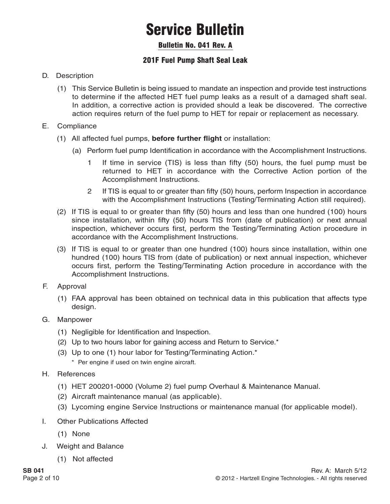### Bulletin No. 041 Rev. A

### 201F Fuel Pump Shaft Seal Leak

#### D. Description

(1) This Service Bulletin is being issued to mandate an inspection and provide test instructions to determine if the affected HET fuel pump leaks as a result of a damaged shaft seal. In addition, a corrective action is provided should a leak be discovered. The corrective action requires return of the fuel pump to HET for repair or replacement as necessary.

#### E. Compliance

- (1) All affected fuel pumps, **before further flight** or installation:
	- (a) Perform fuel pump Identification in accordance with the Accomplishment Instructions.
		- 1 If time in service (TIS) is less than fifty (50) hours, the fuel pump must be returned to HET in accordance with the Corrective Action portion of the Accomplishment Instructions.
		- 2 If TIS is equal to or greater than fifty (50) hours, perform Inspection in accordance with the Accomplishment Instructions (Testing/Terminating Action still required).
- (2) If TIS is equal to or greater than fifty (50) hours and less than one hundred (100) hours since installation, within fifty (50) hours TIS from (date of publication) or next annual inspection, whichever occurs first, perform the Testing/Terminating Action procedure in accordance with the Accomplishment Instructions.
- (3) If TIS is equal to or greater than one hundred (100) hours since installation, within one hundred (100) hours TIS from (date of publication) or next annual inspection, whichever occurs first, perform the Testing/Terminating Action procedure in accordance with the Accomplishment Instructions.
- F. Approval
	- (1) FAA approval has been obtained on technical data in this publication that affects type design.
- G. Manpower
	- (1) Negligible for Identification and Inspection.
	- (2) Up to two hours labor for gaining access and Return to Service.\*
	- (3) Up to one (1) hour labor for Testing/Terminating Action.\*
		- \* Per engine if used on twin engine aircraft.

### H. References

- (1) HET 200201-0000 (Volume 2) fuel pump Overhaul & Maintenance Manual.
- (2) Aircraft maintenance manual (as applicable).
- (3) Lycoming engine Service Instructions or maintenance manual (for applicable model).
- I. Other Publications Affected
	- (1) None
- J. Weight and Balance
	- (1) Not affected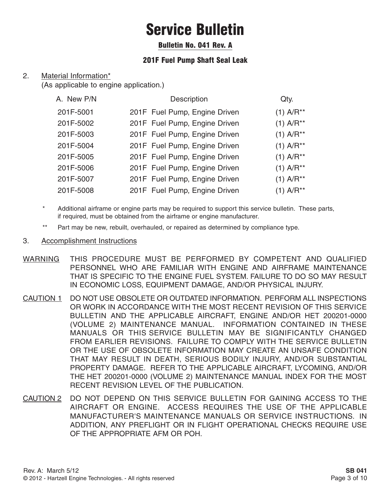Bulletin No. 041 Rev. A

### 201F Fuel Pump Shaft Seal Leak

#### 2. Material Information\*

(As applicable to engine application.)

| A. New P/N | Description                   | Qty.                    |
|------------|-------------------------------|-------------------------|
| 201F-5001  | 201F Fuel Pump, Engine Driven | $(1)$ A/R <sup>**</sup> |
| 201F-5002  | 201F Fuel Pump, Engine Driven | $(1)$ A/R <sup>**</sup> |
| 201F-5003  | 201F Fuel Pump, Engine Driven | $(1)$ A/R <sup>**</sup> |
| 201F-5004  | 201F Fuel Pump, Engine Driven | $(1)$ A/R <sup>**</sup> |
| 201F-5005  | 201F Fuel Pump, Engine Driven | $(1)$ A/R <sup>**</sup> |
| 201F-5006  | 201F Fuel Pump, Engine Driven | $(1)$ A/R <sup>**</sup> |
| 201F-5007  | 201F Fuel Pump, Engine Driven | $(1)$ A/R <sup>**</sup> |
| 201F-5008  | 201F Fuel Pump, Engine Driven | $(1)$ A/R <sup>**</sup> |

- \* Additional airframe or engine parts may be required to support this service bulletin. These parts, if required, must be obtained from the airframe or engine manufacturer.
- \*\* Part may be new, rebuilt, overhauled, or repaired as determined by compliance type.
- 3. Accomplishment Instructions
- WARNING THIS PROCEDURE MUST BE PERFORMED BY COMPETENT AND QUALIFIED PERSONNEL WHO ARE FAMILIAR WITH ENGINE AND AIRFRAME MAINTENANCE THAT IS SPECIFIC TO THE ENGINE FUEL SYSTEM. FAILURE TO DO SO MAY RESULT IN ECONOMIC LOSS, EQUIPMENT DAMAGE, AND/OR PHYSICAL INJURY.
- CAUTION 1 DO NOT USE OBSOLETE OR OUTDATED INFORMATION. PERFORM ALL INSPECTIONS OR WORK IN ACCORDANCE WITH THE MOST RECENT REVISION OF THIS SERVICE BULLETIN AND THE APPLICABLE AIRCRAFT, ENGINE AND/OR HET 200201-0000 (VOLUME 2) MAINTENANCE MANUAL. INFORMATION CONTAINED IN THESE MANUALS OR THIS SERVICE BULLETIN MAY BE SIGNIFICANTLY CHANGED FROM EARLIER REVISIONS. FAILURE TO COMPLY WITH THE SERVICE BULLETIN OR THE USE OF OBSOLETE INFORMATION MAY CREATE AN UNSAFE CONDITION THAT MAY RESULT IN DEATH, SERIOUS BODILY INJURY, AND/OR SUBSTANTIAL PROPERTY DAMAGE. REFER TO THE APPLICABLE AIRCRAFT, LYCOMING, AND/OR THE HET 200201-0000 (VOLUME 2) MAINTENANCE MANUAL INDEX FOR THE MOST RECENT REVISION LEVEL OF THE PUBLICATION.
- CAUTION 2 DO NOT DEPEND ON THIS SERVICE BULLETIN FOR GAINING ACCESS TO THE AIRCRAFT OR ENGINE. ACCESS REQUIRES THE USE OF THE APPLICABLE MANUFACTURER'S MAINTENANCE MANUALS OR SERVICE INSTRUCTIONS. IN ADDITION, ANY PREFLIGHT OR IN FLIGHT OPERATIONAL CHECKS REQUIRE USE OF THE APPROPRIATE AFM OR POH.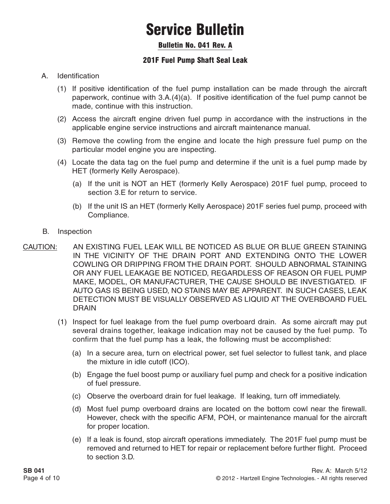### Bulletin No. 041 Rev. A

### 201F Fuel Pump Shaft Seal Leak

#### A. Identification

- (1) If positive identification of the fuel pump installation can be made through the aircraft paperwork, continue with 3.A.(4)(a). If positive identification of the fuel pump cannot be made, continue with this instruction.
- (2) Access the aircraft engine driven fuel pump in accordance with the instructions in the applicable engine service instructions and aircraft maintenance manual.
- (3) Remove the cowling from the engine and locate the high pressure fuel pump on the particular model engine you are inspecting.
- (4) Locate the data tag on the fuel pump and determine if the unit is a fuel pump made by HET (formerly Kelly Aerospace).
	- (a) If the unit is NOT an HET (formerly Kelly Aerospace) 201F fuel pump, proceed to section 3.E for return to service.
	- (b) If the unit IS an HET (formerly Kelly Aerospace) 201F series fuel pump, proceed with Compliance.
- B. Inspection
- CAUTION: AN EXISTING FUEL LEAK WILL BE NOTICED AS BLUE OR BLUE GREEN STAINING IN THE VICINITY OF THE DRAIN PORT AND EXTENDING ONTO THE LOWER COWLING OR DRIPPING FROM THE DRAIN PORT. SHOULD ABNORMAL STAINING OR ANY FUEL LEAKAGE BE NOTICED, REGARDLESS OF REASON OR FUEL PUMP MAKE, MODEL, OR MANUFACTURER, THE CAUSE SHOULD BE INVESTIGATED. IF AUTO GAS IS BEING USED, NO STAINS MAY BE APPARENT. IN SUCH CASES, LEAK DETECTION MUST BE VISUALLY OBSERVED AS LIQUID AT THE OVERBOARD FUEL DRAIN
	- (1) Inspect for fuel leakage from the fuel pump overboard drain. As some aircraft may put several drains together, leakage indication may not be caused by the fuel pump. To confirm that the fuel pump has a leak, the following must be accomplished:
		- (a) In a secure area, turn on electrical power, set fuel selector to fullest tank, and place the mixture in idle cutoff (ICO).
		- (b) Engage the fuel boost pump or auxiliary fuel pump and check for a positive indication of fuel pressure.
		- (c) Observe the overboard drain for fuel leakage. If leaking, turn off immediately.
		- (d) Most fuel pump overboard drains are located on the bottom cowl near the firewall. However, check with the specific AFM, POH, or maintenance manual for the aircraft for proper location.
		- (e) If a leak is found, stop aircraft operations immediately. The 201F fuel pump must be removed and returned to HET for repair or replacement before further flight. Proceed to section 3.D.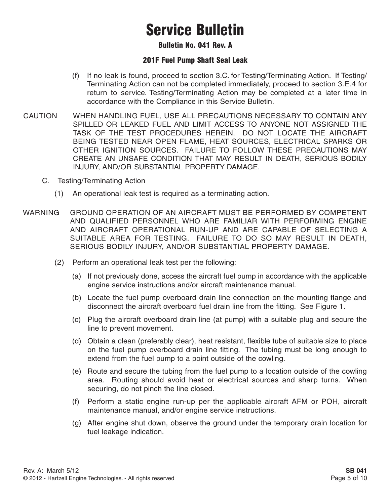### Bulletin No. 041 Rev. A

### 201F Fuel Pump Shaft Seal Leak

- (f) If no leak is found, proceed to section 3.C. for Testing/Terminating Action. If Testing/ Terminating Action can not be completed immediately, proceed to section 3.E.4 for return to service. Testing/Terminating Action may be completed at a later time in accordance with the Compliance in this Service Bulletin.
- CAUTION WHEN HANDLING FUEL, USE ALL PRECAUTIONS NECESSARY TO CONTAIN ANY SPILLED OR LEAKED FUEL AND LIMIT ACCESS TO ANYONE NOT ASSIGNED THE TASK OF THE TEST PROCEDURES HEREIN. DO NOT LOCATE THE AIRCRAFT BEING TESTED NEAR OPEN FLAME, HEAT SOURCES, ELECTRICAL SPARKS OR OTHER IGNITION SOURCES. FAILURE TO FOLLOW THESE PRECAUTIONS MAY CREATE AN UNSAFE CONDITION THAT MAY RESULT IN DEATH, SERIOUS BODILY INJURY, AND/OR SUBSTANTIAL PROPERTY DAMAGE.
	- C. Testing/Terminating Action
		- (1) An operational leak test is required as a terminating action.
- WARNING GROUND OPERATION OF AN AIRCRAFT MUST BE PERFORMED BY COMPETENT AND QUALIFIED PERSONNEL WHO ARE FAMILIAR WITH PERFORMING ENGINE AND AIRCRAFT OPERATIONAL RUN-UP AND ARE CAPABLE OF SELECTING A SUITABLE AREA FOR TESTING. FAILURE TO DO SO MAY RESULT IN DEATH, SERIOUS BODILY INJURY, AND/OR SUBSTANTIAL PROPERTY DAMAGE.
	- (2) Perform an operational leak test per the following:
		- (a) If not previously done, access the aircraft fuel pump in accordance with the applicable engine service instructions and/or aircraft maintenance manual.
		- (b) Locate the fuel pump overboard drain line connection on the mounting flange and disconnect the aircraft overboard fuel drain line from the fitting. See Figure 1.
		- (c) Plug the aircraft overboard drain line (at pump) with a suitable plug and secure the line to prevent movement.
		- (d) Obtain a clean (preferably clear), heat resistant, flexible tube of suitable size to place on the fuel pump overboard drain line fitting. The tubing must be long enough to extend from the fuel pump to a point outside of the cowling.
		- (e) Route and secure the tubing from the fuel pump to a location outside of the cowling area. Routing should avoid heat or electrical sources and sharp turns. When securing, do not pinch the line closed.
		- (f) Perform a static engine run-up per the applicable aircraft AFM or POH, aircraft maintenance manual, and/or engine service instructions.
		- (g) After engine shut down, observe the ground under the temporary drain location for fuel leakage indication.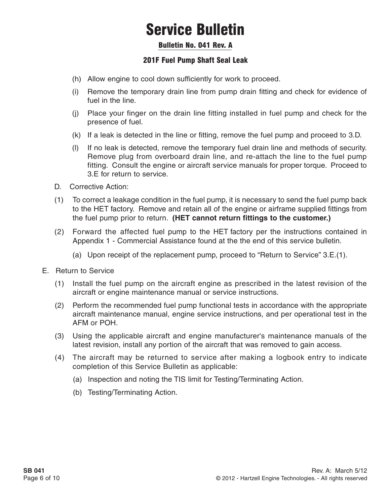### Bulletin No. 041 Rev. A

### 201F Fuel Pump Shaft Seal Leak

- (h) Allow engine to cool down sufficiently for work to proceed.
- (i) Remove the temporary drain line from pump drain fitting and check for evidence of fuel in the line.
- (j) Place your finger on the drain line fitting installed in fuel pump and check for the presence of fuel.
- (k) If a leak is detected in the line or fitting, remove the fuel pump and proceed to 3.D.
- (l) If no leak is detected, remove the temporary fuel drain line and methods of security. Remove plug from overboard drain line, and re-attach the line to the fuel pump fitting. Consult the engine or aircraft service manuals for proper torque. Proceed to 3.E for return to service.
- D. Corrective Action:
- (1) To correct a leakage condition in the fuel pump, it is necessary to send the fuel pump back to the HET factory. Remove and retain all of the engine or airframe supplied fittings from the fuel pump prior to return. **(HET cannot return fittings to the customer.)**
- (2) Forward the affected fuel pump to the HET factory per the instructions contained in Appendix 1 - Commercial Assistance found at the the end of this service bulletin.
	- (a) Upon receipt of the replacement pump, proceed to "Return to Service" 3.E.(1).
- E. Return to Service
	- (1) Install the fuel pump on the aircraft engine as prescribed in the latest revision of the aircraft or engine maintenance manual or service instructions.
	- (2) Perform the recommended fuel pump functional tests in accordance with the appropriate aircraft maintenance manual, engine service instructions, and per operational test in the AFM or POH.
	- (3) Using the applicable aircraft and engine manufacturer's maintenance manuals of the latest revision, install any portion of the aircraft that was removed to gain access.
	- (4) The aircraft may be returned to service after making a logbook entry to indicate completion of this Service Bulletin as applicable:
		- (a) Inspection and noting the TIS limit for Testing/Terminating Action.
		- (b) Testing/Terminating Action.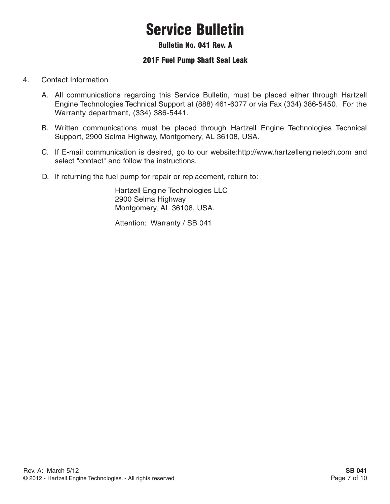### Bulletin No. 041 Rev. A

### 201F Fuel Pump Shaft Seal Leak

### 4. Contact Information

- A. All communications regarding this Service Bulletin, must be placed either through Hartzell Engine Technologies Technical Support at (888) 461-6077 or via Fax (334) 386-5450. For the Warranty department, (334) 386-5441.
- B. Written communications must be placed through Hartzell Engine Technologies Technical Support, 2900 Selma Highway, Montgomery, AL 36108, USA.
- C. If E-mail communication is desired, go to our website:http://www.hartzellenginetech.com and select "contact" and follow the instructions.
- D. If returning the fuel pump for repair or replacement, return to:

Hartzell Engine Technologies LLC 2900 Selma Highway Montgomery, AL 36108, USA.

Attention: Warranty / SB 041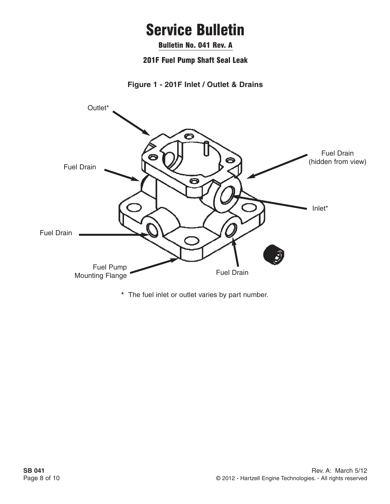Bulletin No. 041 Rev. A

201F Fuel Pump Shaft Seal Leak

**Figure 1 - 201F Inlet / Outlet & Drains**



**\*** The fuel inlet or outlet varies by part number.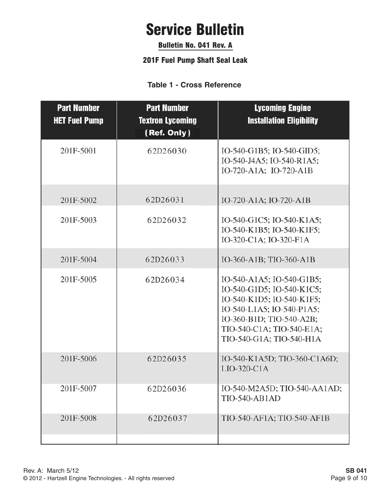Bulletin No. 041 Rev. A

### 201F Fuel Pump Shaft Seal Leak

## **Table 1 - Cross Reference**

| <b>Part Number</b><br><b>HET Fuel Pump</b> | <b>Part Number</b><br><b>Textron Lycoming</b><br>(Ref. Only) | <b>Lycoming Engine</b><br><b>Installation Eligibility</b>                                                                                                                                             |
|--------------------------------------------|--------------------------------------------------------------|-------------------------------------------------------------------------------------------------------------------------------------------------------------------------------------------------------|
| 201F-5001                                  | 62D26030                                                     | IO-540-G1B5; IO-540-GID5;<br>IO-540-J4A5; IO-540-R1A5;<br>IO-720-A1A; IO-720-A1B                                                                                                                      |
| 201F-5002                                  | 62D26031                                                     | IO-720-A1A; IO-720-A1B                                                                                                                                                                                |
| 201F-5003                                  | 62D26032                                                     | IO-540-G1C5; IO-540-K1A5;<br>IO-540-K1B5; IO-540-K1F5;<br>IO-320-C1A; IO-320-F1A                                                                                                                      |
| 201F-5004                                  | 62D26033                                                     | IO-360-A1B; TIO-360-A1B                                                                                                                                                                               |
| 201F-5005                                  | 62D26034                                                     | IO-540-A1A5; IO-540-G1B5;<br>IO-540-G1D5; IO-540-K1C5;<br>IO-540-K1D5; IO-540-K1F5;<br>IO-540-L1A5; IO-540-P1A5;<br>IO-360-B1D; TIO-540-A2B;<br>TIO-540-C1A; TIO-540-E1A;<br>TIO-540-G1A; TIO-540-H1A |
| 201F-5006                                  | 62D26035                                                     | IO-540-K1A5D; TIO-360-C1A6D;<br>$LIO-320-C1A$                                                                                                                                                         |
| 201F-5007                                  | 62D26036                                                     | IO-540-M2A5D; TIO-540-AA1AD;<br><b>TIO-540-AB1AD</b>                                                                                                                                                  |
| 201F-5008                                  | 62D26037                                                     | TIO-540-AF1A; TIO-540-AF1B                                                                                                                                                                            |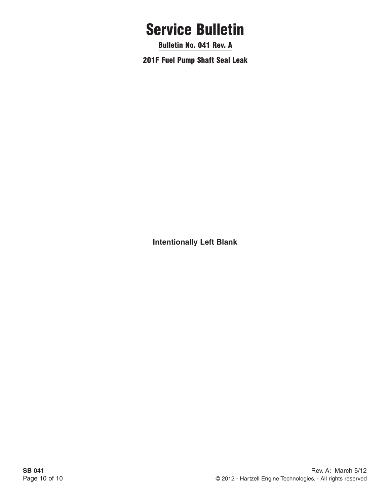Bulletin No. 041 Rev. A

201F Fuel Pump Shaft Seal Leak

**Intentionally Left Blank**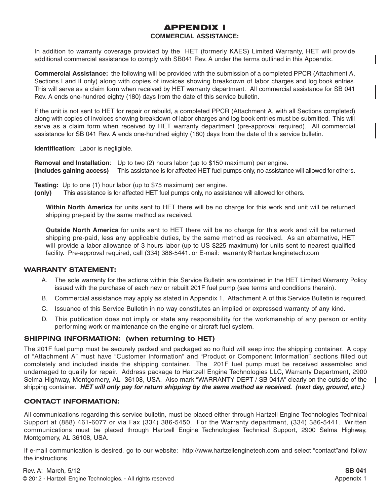### APPENDIX I **COMMERCIAL ASSISTANCE:**

In addition to warranty coverage provided by the HET (formerly KAES) Limited Warranty, HET will provide additional commercial assistance to comply with SB041 Rev. A under the terms outlined in this Appendix.

**Commercial Assistance:** the following will be provided with the submission of a completed PPCR (Attachment A, Sections I and II only) along with copies of invoices showing breakdown of labor charges and log book entries. This will serve as a claim form when received by HET warranty department. All commercial assistance for SB 041 Rev. A ends one-hundred eighty (180) days from the date of this service bulletin.

If the unit is not sent to HET for repair or rebuild, a completed PPCR (Attachment A, with all Sections completed) along with copies of invoices showing breakdown of labor charges and log book entries must be submitted. This will serve as a claim form when received by HET warranty department (pre-approval required). All commercial assistance for SB 041 Rev. A ends one-hundred eighty (180) days from the date of this service bulletin.

**Identification**: Labor is negligible.

**Removal and Installation**: Up to two (2) hours labor (up to \$150 maximum) per engine. **(includes gaining access)** This assistance is for affected HET fuel pumps only, no assistance will allowed for others.

**Testing:** Up to one (1) hour labor (up to \$75 maximum) per engine.

**(only)** This assistance is for affected HET fuel pumps only, no assistance will allowed for others.

**Within North America** for units sent to HET there will be no charge for this work and unit will be returned shipping pre-paid by the same method as received.

**Outside North America** for units sent to HET there will be no charge for this work and will be returned shipping pre-paid, less any applicable duties, by the same method as received. As an alternative, HET will provide a labor allowance of 3 hours labor (up to US \$225 maximum) for units sent to nearest qualified facility. Pre-approval required, call (334) 386-5441. or E-mail: warranty@hartzellenginetech.com

#### **WARRANTY STATEMENT:**

- A. The sole warranty for the actions within this Service Bulletin are contained in the HET Limited Warranty Policy issued with the purchase of each new or rebuilt 201F fuel pump (see terms and conditions therein).
- B. Commercial assistance may apply as stated in Appendix 1. Attachment A of this Service Bulletin is required.
- C. Issuance of this Service Bulletin in no way constitutes an implied or expressed warranty of any kind.
- D. This publication does not imply or state any responsibility for the workmanship of any person or entity performing work or maintenance on the engine or aircraft fuel system.

#### **SHIPPING INFORMATION: (when returning to HET)**

The 201F fuel pump must be securely packed and packaged so no fluid will seep into the shipping container. A copy of "Attachment A" must have "Customer Information" and "Product or Component Information" sections filled out completely and included inside the shipping container. The 201F fuel pump must be received assembled and undamaged to qualify for repair. Address package to Hartzell Engine Technologies LLC, Warranty Department, 2900 Selma Highway, Montgomery, AL 36108, USA. Also mark "WARRANTY DEPT / SB 041A" clearly on the outside of the shipping container. **HET will only pay for return shipping by the same method as received. (next day, ground, etc.)**

#### **CONTACT INFORMATION:**

All communications regarding this service bulletin, must be placed either through Hartzell Engine Technologies Technical Support at (888) 461-6077 or via Fax (334) 386-5450. For the Warranty department, (334) 386-5441. Written communications must be placed through Hartzell Engine Technologies Technical Support, 2900 Selma Highway, Montgomery, AL 36108, USA.

If e-mail communication is desired, go to our website: http://www.hartzellenginetech.com and select "contact"and follow the instructions.

-1